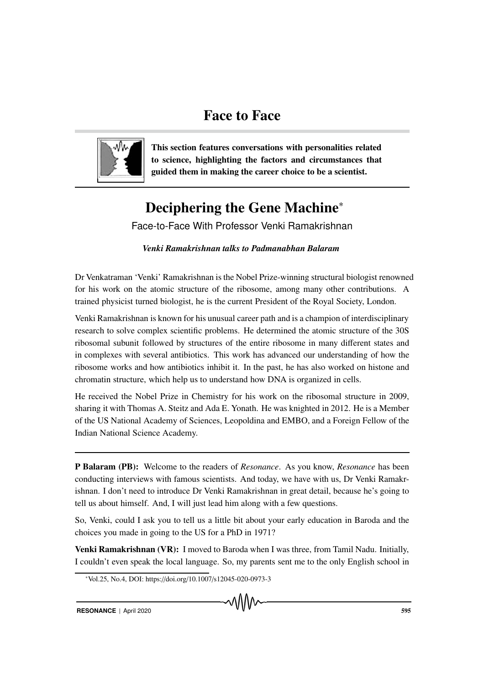## Face to Face



This section features conversations with personalities related to science, highlighting the factors and circumstances that guided them in making the career choice to be a scientist.

# Deciphering the Gene Machine<sup>∗</sup>

Face-to-Face With Professor Venki Ramakrishnan

*Venki Ramakrishnan talks to Padmanabhan Balaram*

Dr Venkatraman 'Venki' Ramakrishnan is the Nobel Prize-winning structural biologist renowned for his work on the atomic structure of the ribosome, among many other contributions. A trained physicist turned biologist, he is the current President of the Royal Society, London.

Venki Ramakrishnan is known for his unusual career path and is a champion of interdisciplinary research to solve complex scientific problems. He determined the atomic structure of the 30S ribosomal subunit followed by structures of the entire ribosome in many different states and in complexes with several antibiotics. This work has advanced our understanding of how the ribosome works and how antibiotics inhibit it. In the past, he has also worked on histone and chromatin structure, which help us to understand how DNA is organized in cells.

He received the Nobel Prize in Chemistry for his work on the ribosomal structure in 2009, sharing it with Thomas A. Steitz and Ada E. Yonath. He was knighted in 2012. He is a Member of the US National Academy of Sciences, Leopoldina and EMBO, and a Foreign Fellow of the Indian National Science Academy.

P Balaram (PB): Welcome to the readers of *Resonance*. As you know, *Resonance* has been conducting interviews with famous scientists. And today, we have with us, Dr Venki Ramakrishnan. I don't need to introduce Dr Venki Ramakrishnan in great detail, because he's going to tell us about himself. And, I will just lead him along with a few questions.

So, Venki, could I ask you to tell us a little bit about your early education in Baroda and the choices you made in going to the US for a PhD in 1971?

Venki Ramakrishnan (VR): I moved to Baroda when I was three, from Tamil Nadu. Initially, I couldn't even speak the local language. So, my parents sent me to the only English school in

<sup>∗</sup>Vol.25, No.4, DOI: https://doi.org/10.1007/s12045-020-0973-3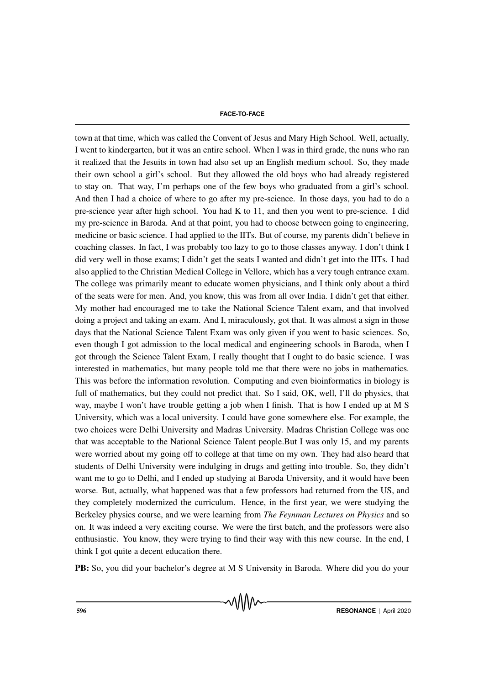town at that time, which was called the Convent of Jesus and Mary High School. Well, actually, I went to kindergarten, but it was an entire school. When I was in third grade, the nuns who ran it realized that the Jesuits in town had also set up an English medium school. So, they made their own school a girl's school. But they allowed the old boys who had already registered to stay on. That way, I'm perhaps one of the few boys who graduated from a girl's school. And then I had a choice of where to go after my pre-science. In those days, you had to do a pre-science year after high school. You had K to 11, and then you went to pre-science. I did my pre-science in Baroda. And at that point, you had to choose between going to engineering, medicine or basic science. I had applied to the IITs. But of course, my parents didn't believe in coaching classes. In fact, I was probably too lazy to go to those classes anyway. I don't think I did very well in those exams; I didn't get the seats I wanted and didn't get into the IITs. I had also applied to the Christian Medical College in Vellore, which has a very tough entrance exam. The college was primarily meant to educate women physicians, and I think only about a third of the seats were for men. And, you know, this was from all over India. I didn't get that either. My mother had encouraged me to take the National Science Talent exam, and that involved doing a project and taking an exam. And I, miraculously, got that. It was almost a sign in those days that the National Science Talent Exam was only given if you went to basic sciences. So, even though I got admission to the local medical and engineering schools in Baroda, when I got through the Science Talent Exam, I really thought that I ought to do basic science. I was interested in mathematics, but many people told me that there were no jobs in mathematics. This was before the information revolution. Computing and even bioinformatics in biology is full of mathematics, but they could not predict that. So I said, OK, well, I'll do physics, that way, maybe I won't have trouble getting a job when I finish. That is how I ended up at M S University, which was a local university. I could have gone somewhere else. For example, the two choices were Delhi University and Madras University. Madras Christian College was one that was acceptable to the National Science Talent people.But I was only 15, and my parents were worried about my going off to college at that time on my own. They had also heard that students of Delhi University were indulging in drugs and getting into trouble. So, they didn't want me to go to Delhi, and I ended up studying at Baroda University, and it would have been worse. But, actually, what happened was that a few professors had returned from the US, and they completely modernized the curriculum. Hence, in the first year, we were studying the Berkeley physics course, and we were learning from *The Feynman Lectures on Physics* and so on. It was indeed a very exciting course. We were the first batch, and the professors were also enthusiastic. You know, they were trying to find their way with this new course. In the end, I think I got quite a decent education there.

PB: So, you did your bachelor's degree at M S University in Baroda. Where did you do your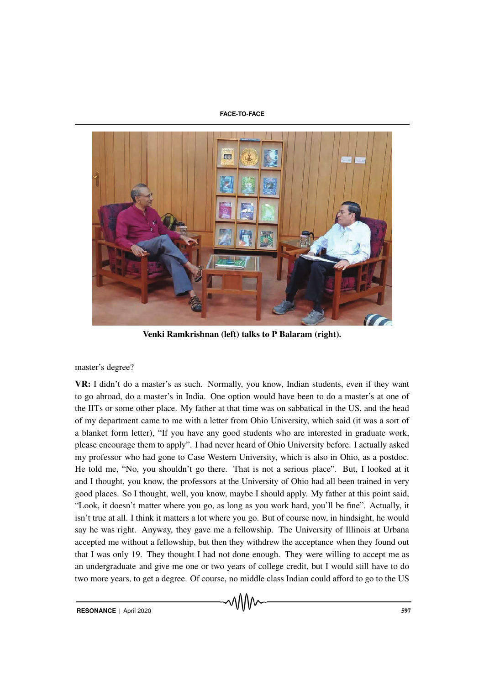

Venki Ramkrishnan (left) talks to P Balaram (right).

### master's degree?

VR: I didn't do a master's as such. Normally, you know, Indian students, even if they want to go abroad, do a master's in India. One option would have been to do a master's at one of the IITs or some other place. My father at that time was on sabbatical in the US, and the head of my department came to me with a letter from Ohio University, which said (it was a sort of a blanket form letter), "If you have any good students who are interested in graduate work, please encourage them to apply". I had never heard of Ohio University before. I actually asked my professor who had gone to Case Western University, which is also in Ohio, as a postdoc. He told me, "No, you shouldn't go there. That is not a serious place". But, I looked at it and I thought, you know, the professors at the University of Ohio had all been trained in very good places. So I thought, well, you know, maybe I should apply. My father at this point said, "Look, it doesn't matter where you go, as long as you work hard, you'll be fine". Actually, it isn't true at all. I think it matters a lot where you go. But of course now, in hindsight, he would say he was right. Anyway, they gave me a fellowship. The University of Illinois at Urbana accepted me without a fellowship, but then they withdrew the acceptance when they found out that I was only 19. They thought I had not done enough. They were willing to accept me as an undergraduate and give me one or two years of college credit, but I would still have to do two more years, to get a degree. Of course, no middle class Indian could afford to go to the US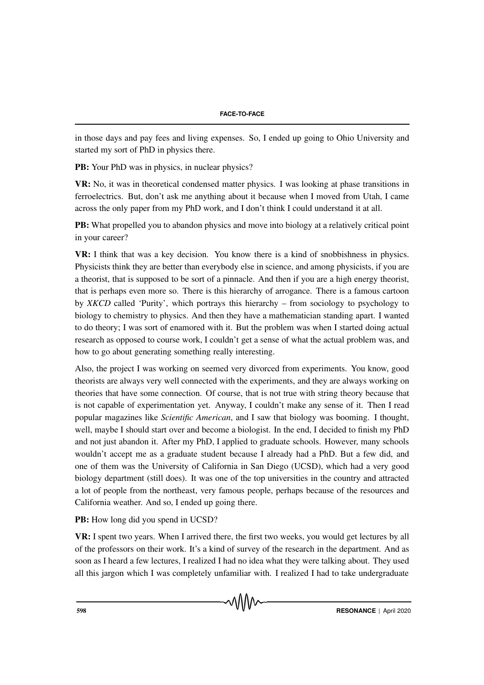in those days and pay fees and living expenses. So, I ended up going to Ohio University and started my sort of PhD in physics there.

PB: Your PhD was in physics, in nuclear physics?

VR: No, it was in theoretical condensed matter physics. I was looking at phase transitions in ferroelectrics. But, don't ask me anything about it because when I moved from Utah, I came across the only paper from my PhD work, and I don't think I could understand it at all.

PB: What propelled you to abandon physics and move into biology at a relatively critical point in your career?

VR: I think that was a key decision. You know there is a kind of snobbishness in physics. Physicists think they are better than everybody else in science, and among physicists, if you are a theorist, that is supposed to be sort of a pinnacle. And then if you are a high energy theorist, that is perhaps even more so. There is this hierarchy of arrogance. There is a famous cartoon by *XKCD* called 'Purity', which portrays this hierarchy – from sociology to psychology to biology to chemistry to physics. And then they have a mathematician standing apart. I wanted to do theory; I was sort of enamored with it. But the problem was when I started doing actual research as opposed to course work, I couldn't get a sense of what the actual problem was, and how to go about generating something really interesting.

Also, the project I was working on seemed very divorced from experiments. You know, good theorists are always very well connected with the experiments, and they are always working on theories that have some connection. Of course, that is not true with string theory because that is not capable of experimentation yet. Anyway, I couldn't make any sense of it. Then I read popular magazines like *Scientific American*, and I saw that biology was booming. I thought, well, maybe I should start over and become a biologist. In the end, I decided to finish my PhD and not just abandon it. After my PhD, I applied to graduate schools. However, many schools wouldn't accept me as a graduate student because I already had a PhD. But a few did, and one of them was the University of California in San Diego (UCSD), which had a very good biology department (still does). It was one of the top universities in the country and attracted a lot of people from the northeast, very famous people, perhaps because of the resources and California weather. And so, I ended up going there.

PB: How long did you spend in UCSD?

VR: I spent two years. When I arrived there, the first two weeks, you would get lectures by all of the professors on their work. It's a kind of survey of the research in the department. And as soon as I heard a few lectures, I realized I had no idea what they were talking about. They used all this jargon which I was completely unfamiliar with. I realized I had to take undergraduate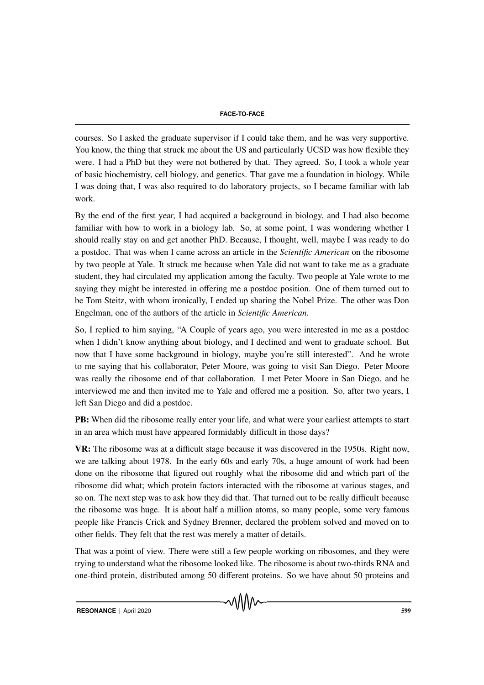courses. So I asked the graduate supervisor if I could take them, and he was very supportive. You know, the thing that struck me about the US and particularly UCSD was how flexible they were. I had a PhD but they were not bothered by that. They agreed. So, I took a whole year of basic biochemistry, cell biology, and genetics. That gave me a foundation in biology. While I was doing that, I was also required to do laboratory projects, so I became familiar with lab work.

By the end of the first year, I had acquired a background in biology, and I had also become familiar with how to work in a biology lab. So, at some point, I was wondering whether I should really stay on and get another PhD. Because, I thought, well, maybe I was ready to do a postdoc. That was when I came across an article in the *Scientific American* on the ribosome by two people at Yale. It struck me because when Yale did not want to take me as a graduate student, they had circulated my application among the faculty. Two people at Yale wrote to me saying they might be interested in offering me a postdoc position. One of them turned out to be Tom Steitz, with whom ironically, I ended up sharing the Nobel Prize. The other was Don Engelman, one of the authors of the article in *Scientific American*.

So, I replied to him saying, "A Couple of years ago, you were interested in me as a postdoc when I didn't know anything about biology, and I declined and went to graduate school. But now that I have some background in biology, maybe you're still interested". And he wrote to me saying that his collaborator, Peter Moore, was going to visit San Diego. Peter Moore was really the ribosome end of that collaboration. I met Peter Moore in San Diego, and he interviewed me and then invited me to Yale and offered me a position. So, after two years, I left San Diego and did a postdoc.

PB: When did the ribosome really enter your life, and what were your earliest attempts to start in an area which must have appeared formidably difficult in those days?

VR: The ribosome was at a difficult stage because it was discovered in the 1950s. Right now, we are talking about 1978. In the early 60s and early 70s, a huge amount of work had been done on the ribosome that figured out roughly what the ribosome did and which part of the ribosome did what; which protein factors interacted with the ribosome at various stages, and so on. The next step was to ask how they did that. That turned out to be really difficult because the ribosome was huge. It is about half a million atoms, so many people, some very famous people like Francis Crick and Sydney Brenner, declared the problem solved and moved on to other fields. They felt that the rest was merely a matter of details.

That was a point of view. There were still a few people working on ribosomes, and they were trying to understand what the ribosome looked like. The ribosome is about two-thirds RNA and one-third protein, distributed among 50 different proteins. So we have about 50 proteins and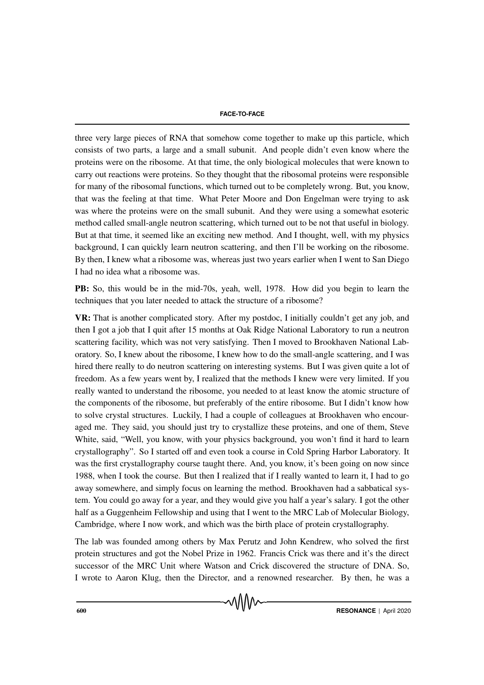three very large pieces of RNA that somehow come together to make up this particle, which consists of two parts, a large and a small subunit. And people didn't even know where the proteins were on the ribosome. At that time, the only biological molecules that were known to carry out reactions were proteins. So they thought that the ribosomal proteins were responsible for many of the ribosomal functions, which turned out to be completely wrong. But, you know, that was the feeling at that time. What Peter Moore and Don Engelman were trying to ask was where the proteins were on the small subunit. And they were using a somewhat esoteric method called small-angle neutron scattering, which turned out to be not that useful in biology. But at that time, it seemed like an exciting new method. And I thought, well, with my physics background, I can quickly learn neutron scattering, and then I'll be working on the ribosome. By then, I knew what a ribosome was, whereas just two years earlier when I went to San Diego I had no idea what a ribosome was.

PB: So, this would be in the mid-70s, yeah, well, 1978. How did you begin to learn the techniques that you later needed to attack the structure of a ribosome?

VR: That is another complicated story. After my postdoc, I initially couldn't get any job, and then I got a job that I quit after 15 months at Oak Ridge National Laboratory to run a neutron scattering facility, which was not very satisfying. Then I moved to Brookhaven National Laboratory. So, I knew about the ribosome, I knew how to do the small-angle scattering, and I was hired there really to do neutron scattering on interesting systems. But I was given quite a lot of freedom. As a few years went by, I realized that the methods I knew were very limited. If you really wanted to understand the ribosome, you needed to at least know the atomic structure of the components of the ribosome, but preferably of the entire ribosome. But I didn't know how to solve crystal structures. Luckily, I had a couple of colleagues at Brookhaven who encouraged me. They said, you should just try to crystallize these proteins, and one of them, Steve White, said, "Well, you know, with your physics background, you won't find it hard to learn crystallography". So I started off and even took a course in Cold Spring Harbor Laboratory. It was the first crystallography course taught there. And, you know, it's been going on now since 1988, when I took the course. But then I realized that if I really wanted to learn it, I had to go away somewhere, and simply focus on learning the method. Brookhaven had a sabbatical system. You could go away for a year, and they would give you half a year's salary. I got the other half as a Guggenheim Fellowship and using that I went to the MRC Lab of Molecular Biology, Cambridge, where I now work, and which was the birth place of protein crystallography.

The lab was founded among others by Max Perutz and John Kendrew, who solved the first protein structures and got the Nobel Prize in 1962. Francis Crick was there and it's the direct successor of the MRC Unit where Watson and Crick discovered the structure of DNA. So, I wrote to Aaron Klug, then the Director, and a renowned researcher. By then, he was a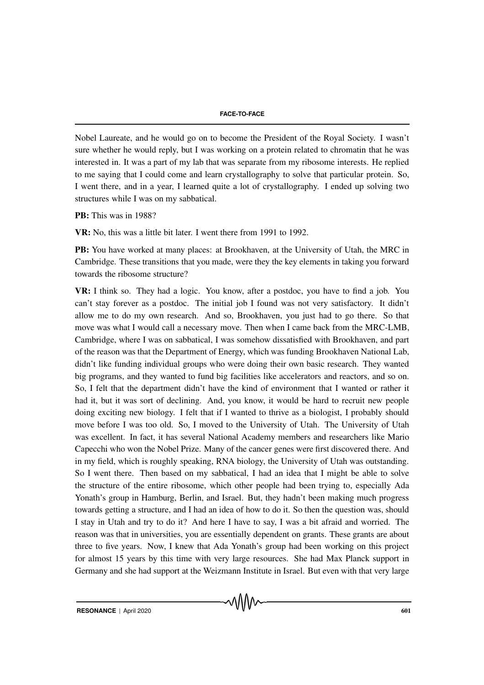Nobel Laureate, and he would go on to become the President of the Royal Society. I wasn't sure whether he would reply, but I was working on a protein related to chromatin that he was interested in. It was a part of my lab that was separate from my ribosome interests. He replied to me saying that I could come and learn crystallography to solve that particular protein. So, I went there, and in a year, I learned quite a lot of crystallography. I ended up solving two structures while I was on my sabbatical.

PB: This was in 1988?

VR: No, this was a little bit later. I went there from 1991 to 1992.

PB: You have worked at many places: at Brookhaven, at the University of Utah, the MRC in Cambridge. These transitions that you made, were they the key elements in taking you forward towards the ribosome structure?

VR: I think so. They had a logic. You know, after a postdoc, you have to find a job. You can't stay forever as a postdoc. The initial job I found was not very satisfactory. It didn't allow me to do my own research. And so, Brookhaven, you just had to go there. So that move was what I would call a necessary move. Then when I came back from the MRC-LMB, Cambridge, where I was on sabbatical, I was somehow dissatisfied with Brookhaven, and part of the reason was that the Department of Energy, which was funding Brookhaven National Lab, didn't like funding individual groups who were doing their own basic research. They wanted big programs, and they wanted to fund big facilities like accelerators and reactors, and so on. So, I felt that the department didn't have the kind of environment that I wanted or rather it had it, but it was sort of declining. And, you know, it would be hard to recruit new people doing exciting new biology. I felt that if I wanted to thrive as a biologist, I probably should move before I was too old. So, I moved to the University of Utah. The University of Utah was excellent. In fact, it has several National Academy members and researchers like Mario Capecchi who won the Nobel Prize. Many of the cancer genes were first discovered there. And in my field, which is roughly speaking, RNA biology, the University of Utah was outstanding. So I went there. Then based on my sabbatical, I had an idea that I might be able to solve the structure of the entire ribosome, which other people had been trying to, especially Ada Yonath's group in Hamburg, Berlin, and Israel. But, they hadn't been making much progress towards getting a structure, and I had an idea of how to do it. So then the question was, should I stay in Utah and try to do it? And here I have to say, I was a bit afraid and worried. The reason was that in universities, you are essentially dependent on grants. These grants are about three to five years. Now, I knew that Ada Yonath's group had been working on this project for almost 15 years by this time with very large resources. She had Max Planck support in Germany and she had support at the Weizmann Institute in Israel. But even with that very large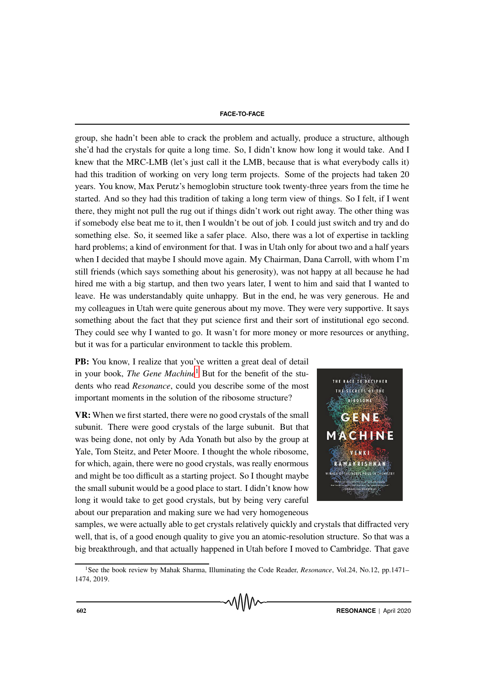group, she hadn't been able to crack the problem and actually, produce a structure, although she'd had the crystals for quite a long time. So, I didn't know how long it would take. And I knew that the MRC-LMB (let's just call it the LMB, because that is what everybody calls it) had this tradition of working on very long term projects. Some of the projects had taken 20 years. You know, Max Perutz's hemoglobin structure took twenty-three years from the time he started. And so they had this tradition of taking a long term view of things. So I felt, if I went there, they might not pull the rug out if things didn't work out right away. The other thing was if somebody else beat me to it, then I wouldn't be out of job. I could just switch and try and do something else. So, it seemed like a safer place. Also, there was a lot of expertise in tackling hard problems; a kind of environment for that. I was in Utah only for about two and a half years when I decided that maybe I should move again. My Chairman, Dana Carroll, with whom I'm still friends (which says something about his generosity), was not happy at all because he had hired me with a big startup, and then two years later, I went to him and said that I wanted to leave. He was understandably quite unhappy. But in the end, he was very generous. He and my colleagues in Utah were quite generous about my move. They were very supportive. It says something about the fact that they put science first and their sort of institutional ego second. They could see why I wanted to go. It wasn't for more money or more resources or anything, but it was for a particular environment to tackle this problem.

PB: You know, I realize that you've written a great deal of detail in your book, *The Gene Machine*<sup>[1](#page-7-0)</sup> But for the benefit of the students who read *Resonance*, could you describe some of the most important moments in the solution of the ribosome structure?

VR: When we first started, there were no good crystals of the small subunit. There were good crystals of the large subunit. But that was being done, not only by Ada Yonath but also by the group at Yale, Tom Steitz, and Peter Moore. I thought the whole ribosome, for which, again, there were no good crystals, was really enormous and might be too difficult as a starting project. So I thought maybe the small subunit would be a good place to start. I didn't know how long it would take to get good crystals, but by being very careful about our preparation and making sure we had very homogeneous



samples, we were actually able to get crystals relatively quickly and crystals that diffracted very well, that is, of a good enough quality to give you an atomic-resolution structure. So that was a big breakthrough, and that actually happened in Utah before I moved to Cambridge. That gave

<span id="page-7-0"></span><sup>1</sup>See the book review by Mahak Sharma, Illuminating the Code Reader, *Resonance*, Vol.24, No.12, pp.1471– 1474, 2019.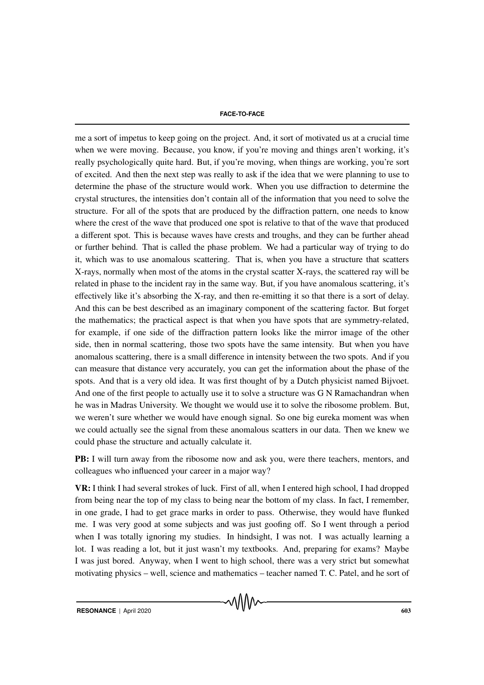me a sort of impetus to keep going on the project. And, it sort of motivated us at a crucial time when we were moving. Because, you know, if you're moving and things aren't working, it's really psychologically quite hard. But, if you're moving, when things are working, you're sort of excited. And then the next step was really to ask if the idea that we were planning to use to determine the phase of the structure would work. When you use diffraction to determine the crystal structures, the intensities don't contain all of the information that you need to solve the structure. For all of the spots that are produced by the diffraction pattern, one needs to know where the crest of the wave that produced one spot is relative to that of the wave that produced a different spot. This is because waves have crests and troughs, and they can be further ahead or further behind. That is called the phase problem. We had a particular way of trying to do it, which was to use anomalous scattering. That is, when you have a structure that scatters X-rays, normally when most of the atoms in the crystal scatter X-rays, the scattered ray will be related in phase to the incident ray in the same way. But, if you have anomalous scattering, it's effectively like it's absorbing the X-ray, and then re-emitting it so that there is a sort of delay. And this can be best described as an imaginary component of the scattering factor. But forget the mathematics; the practical aspect is that when you have spots that are symmetry-related, for example, if one side of the diffraction pattern looks like the mirror image of the other side, then in normal scattering, those two spots have the same intensity. But when you have anomalous scattering, there is a small difference in intensity between the two spots. And if you can measure that distance very accurately, you can get the information about the phase of the spots. And that is a very old idea. It was first thought of by a Dutch physicist named Bijvoet. And one of the first people to actually use it to solve a structure was G N Ramachandran when he was in Madras University. We thought we would use it to solve the ribosome problem. But, we weren't sure whether we would have enough signal. So one big eureka moment was when we could actually see the signal from these anomalous scatters in our data. Then we knew we could phase the structure and actually calculate it.

PB: I will turn away from the ribosome now and ask you, were there teachers, mentors, and colleagues who influenced your career in a major way?

VR: I think I had several strokes of luck. First of all, when I entered high school, I had dropped from being near the top of my class to being near the bottom of my class. In fact, I remember, in one grade, I had to get grace marks in order to pass. Otherwise, they would have flunked me. I was very good at some subjects and was just goofing off. So I went through a period when I was totally ignoring my studies. In hindsight, I was not. I was actually learning a lot. I was reading a lot, but it just wasn't my textbooks. And, preparing for exams? Maybe I was just bored. Anyway, when I went to high school, there was a very strict but somewhat motivating physics – well, science and mathematics – teacher named T. C. Patel, and he sort of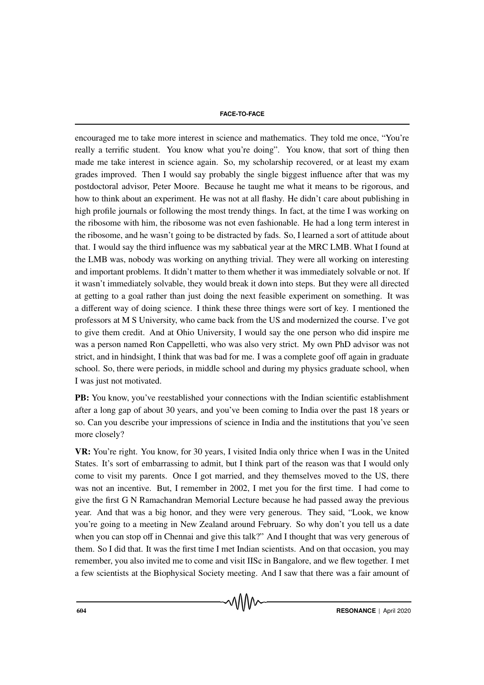encouraged me to take more interest in science and mathematics. They told me once, "You're really a terrific student. You know what you're doing". You know, that sort of thing then made me take interest in science again. So, my scholarship recovered, or at least my exam grades improved. Then I would say probably the single biggest influence after that was my postdoctoral advisor, Peter Moore. Because he taught me what it means to be rigorous, and how to think about an experiment. He was not at all flashy. He didn't care about publishing in high profile journals or following the most trendy things. In fact, at the time I was working on the ribosome with him, the ribosome was not even fashionable. He had a long term interest in the ribosome, and he wasn't going to be distracted by fads. So, I learned a sort of attitude about that. I would say the third influence was my sabbatical year at the MRC LMB. What I found at the LMB was, nobody was working on anything trivial. They were all working on interesting and important problems. It didn't matter to them whether it was immediately solvable or not. If it wasn't immediately solvable, they would break it down into steps. But they were all directed at getting to a goal rather than just doing the next feasible experiment on something. It was a different way of doing science. I think these three things were sort of key. I mentioned the professors at M S University, who came back from the US and modernized the course. I've got to give them credit. And at Ohio University, I would say the one person who did inspire me was a person named Ron Cappelletti, who was also very strict. My own PhD advisor was not strict, and in hindsight, I think that was bad for me. I was a complete goof off again in graduate school. So, there were periods, in middle school and during my physics graduate school, when I was just not motivated.

PB: You know, you've reestablished your connections with the Indian scientific establishment after a long gap of about 30 years, and you've been coming to India over the past 18 years or so. Can you describe your impressions of science in India and the institutions that you've seen more closely?

VR: You're right. You know, for 30 years, I visited India only thrice when I was in the United States. It's sort of embarrassing to admit, but I think part of the reason was that I would only come to visit my parents. Once I got married, and they themselves moved to the US, there was not an incentive. But, I remember in 2002, I met you for the first time. I had come to give the first G N Ramachandran Memorial Lecture because he had passed away the previous year. And that was a big honor, and they were very generous. They said, "Look, we know you're going to a meeting in New Zealand around February. So why don't you tell us a date when you can stop off in Chennai and give this talk?" And I thought that was very generous of them. So I did that. It was the first time I met Indian scientists. And on that occasion, you may remember, you also invited me to come and visit IISc in Bangalore, and we flew together. I met a few scientists at the Biophysical Society meeting. And I saw that there was a fair amount of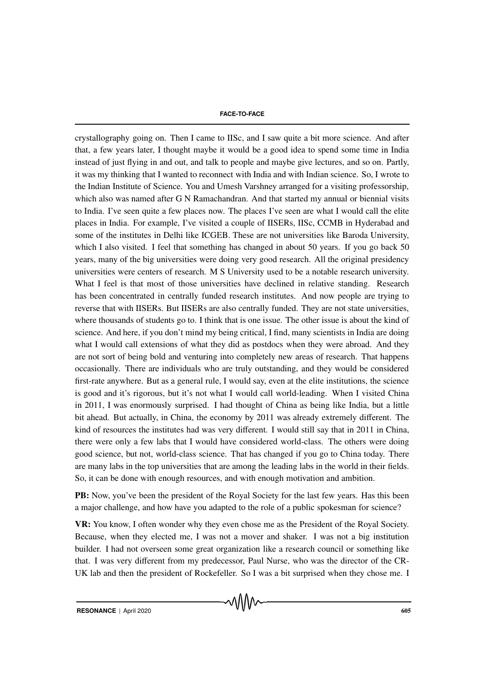crystallography going on. Then I came to IISc, and I saw quite a bit more science. And after that, a few years later, I thought maybe it would be a good idea to spend some time in India instead of just flying in and out, and talk to people and maybe give lectures, and so on. Partly, it was my thinking that I wanted to reconnect with India and with Indian science. So, I wrote to the Indian Institute of Science. You and Umesh Varshney arranged for a visiting professorship, which also was named after G N Ramachandran. And that started my annual or biennial visits to India. I've seen quite a few places now. The places I've seen are what I would call the elite places in India. For example, I've visited a couple of IISERs, IISc, CCMB in Hyderabad and some of the institutes in Delhi like ICGEB. These are not universities like Baroda University, which I also visited. I feel that something has changed in about 50 years. If you go back 50 years, many of the big universities were doing very good research. All the original presidency universities were centers of research. M S University used to be a notable research university. What I feel is that most of those universities have declined in relative standing. Research has been concentrated in centrally funded research institutes. And now people are trying to reverse that with IISERs. But IISERs are also centrally funded. They are not state universities, where thousands of students go to. I think that is one issue. The other issue is about the kind of science. And here, if you don't mind my being critical, I find, many scientists in India are doing what I would call extensions of what they did as postdocs when they were abroad. And they are not sort of being bold and venturing into completely new areas of research. That happens occasionally. There are individuals who are truly outstanding, and they would be considered first-rate anywhere. But as a general rule, I would say, even at the elite institutions, the science is good and it's rigorous, but it's not what I would call world-leading. When I visited China in 2011, I was enormously surprised. I had thought of China as being like India, but a little bit ahead. But actually, in China, the economy by 2011 was already extremely different. The kind of resources the institutes had was very different. I would still say that in 2011 in China, there were only a few labs that I would have considered world-class. The others were doing good science, but not, world-class science. That has changed if you go to China today. There are many labs in the top universities that are among the leading labs in the world in their fields. So, it can be done with enough resources, and with enough motivation and ambition.

PB: Now, you've been the president of the Royal Society for the last few years. Has this been a major challenge, and how have you adapted to the role of a public spokesman for science?

VR: You know, I often wonder why they even chose me as the President of the Royal Society. Because, when they elected me, I was not a mover and shaker. I was not a big institution builder. I had not overseen some great organization like a research council or something like that. I was very different from my predecessor, Paul Nurse, who was the director of the CR-UK lab and then the president of Rockefeller. So I was a bit surprised when they chose me. I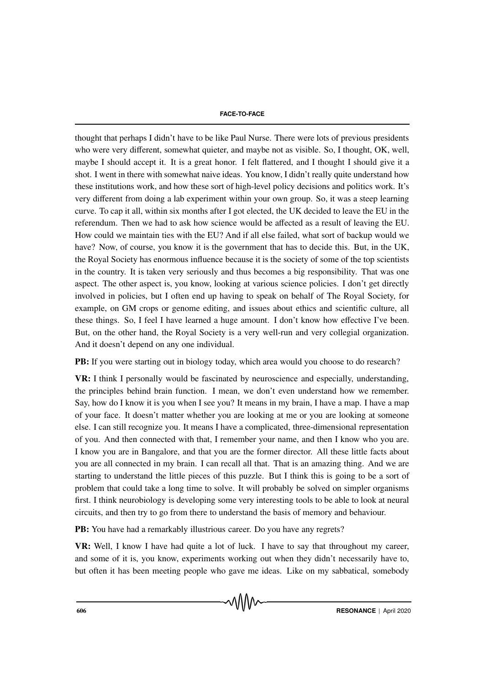thought that perhaps I didn't have to be like Paul Nurse. There were lots of previous presidents who were very different, somewhat quieter, and maybe not as visible. So, I thought, OK, well, maybe I should accept it. It is a great honor. I felt flattered, and I thought I should give it a shot. I went in there with somewhat naive ideas. You know, I didn't really quite understand how these institutions work, and how these sort of high-level policy decisions and politics work. It's very different from doing a lab experiment within your own group. So, it was a steep learning curve. To cap it all, within six months after I got elected, the UK decided to leave the EU in the referendum. Then we had to ask how science would be affected as a result of leaving the EU. How could we maintain ties with the EU? And if all else failed, what sort of backup would we have? Now, of course, you know it is the government that has to decide this. But, in the UK, the Royal Society has enormous influence because it is the society of some of the top scientists in the country. It is taken very seriously and thus becomes a big responsibility. That was one aspect. The other aspect is, you know, looking at various science policies. I don't get directly involved in policies, but I often end up having to speak on behalf of The Royal Society, for example, on GM crops or genome editing, and issues about ethics and scientific culture, all these things. So, I feel I have learned a huge amount. I don't know how effective I've been. But, on the other hand, the Royal Society is a very well-run and very collegial organization. And it doesn't depend on any one individual.

PB: If you were starting out in biology today, which area would you choose to do research?

VR: I think I personally would be fascinated by neuroscience and especially, understanding, the principles behind brain function. I mean, we don't even understand how we remember. Say, how do I know it is you when I see you? It means in my brain, I have a map. I have a map of your face. It doesn't matter whether you are looking at me or you are looking at someone else. I can still recognize you. It means I have a complicated, three-dimensional representation of you. And then connected with that, I remember your name, and then I know who you are. I know you are in Bangalore, and that you are the former director. All these little facts about you are all connected in my brain. I can recall all that. That is an amazing thing. And we are starting to understand the little pieces of this puzzle. But I think this is going to be a sort of problem that could take a long time to solve. It will probably be solved on simpler organisms first. I think neurobiology is developing some very interesting tools to be able to look at neural circuits, and then try to go from there to understand the basis of memory and behaviour.

PB: You have had a remarkably illustrious career. Do you have any regrets?

VR: Well, I know I have had quite a lot of luck. I have to say that throughout my career, and some of it is, you know, experiments working out when they didn't necessarily have to, but often it has been meeting people who gave me ideas. Like on my sabbatical, somebody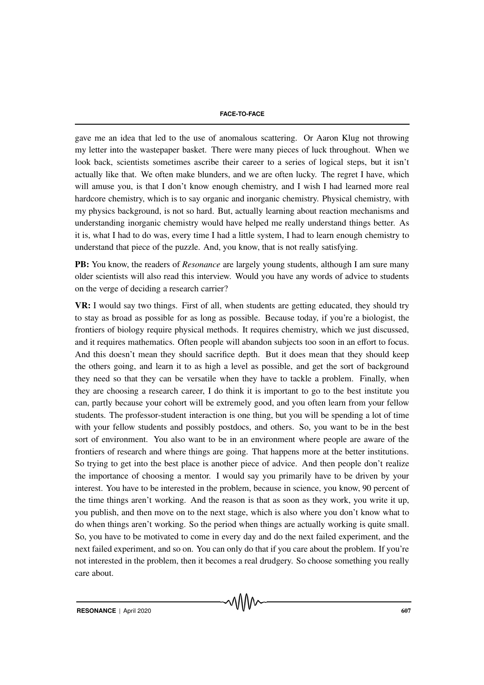gave me an idea that led to the use of anomalous scattering. Or Aaron Klug not throwing my letter into the wastepaper basket. There were many pieces of luck throughout. When we look back, scientists sometimes ascribe their career to a series of logical steps, but it isn't actually like that. We often make blunders, and we are often lucky. The regret I have, which will amuse you, is that I don't know enough chemistry, and I wish I had learned more real hardcore chemistry, which is to say organic and inorganic chemistry. Physical chemistry, with my physics background, is not so hard. But, actually learning about reaction mechanisms and understanding inorganic chemistry would have helped me really understand things better. As it is, what I had to do was, every time I had a little system, I had to learn enough chemistry to understand that piece of the puzzle. And, you know, that is not really satisfying.

PB: You know, the readers of *Resonance* are largely young students, although I am sure many older scientists will also read this interview. Would you have any words of advice to students on the verge of deciding a research carrier?

VR: I would say two things. First of all, when students are getting educated, they should try to stay as broad as possible for as long as possible. Because today, if you're a biologist, the frontiers of biology require physical methods. It requires chemistry, which we just discussed, and it requires mathematics. Often people will abandon subjects too soon in an effort to focus. And this doesn't mean they should sacrifice depth. But it does mean that they should keep the others going, and learn it to as high a level as possible, and get the sort of background they need so that they can be versatile when they have to tackle a problem. Finally, when they are choosing a research career, I do think it is important to go to the best institute you can, partly because your cohort will be extremely good, and you often learn from your fellow students. The professor-student interaction is one thing, but you will be spending a lot of time with your fellow students and possibly postdocs, and others. So, you want to be in the best sort of environment. You also want to be in an environment where people are aware of the frontiers of research and where things are going. That happens more at the better institutions. So trying to get into the best place is another piece of advice. And then people don't realize the importance of choosing a mentor. I would say you primarily have to be driven by your interest. You have to be interested in the problem, because in science, you know, 90 percent of the time things aren't working. And the reason is that as soon as they work, you write it up, you publish, and then move on to the next stage, which is also where you don't know what to do when things aren't working. So the period when things are actually working is quite small. So, you have to be motivated to come in every day and do the next failed experiment, and the next failed experiment, and so on. You can only do that if you care about the problem. If you're not interested in the problem, then it becomes a real drudgery. So choose something you really care about.